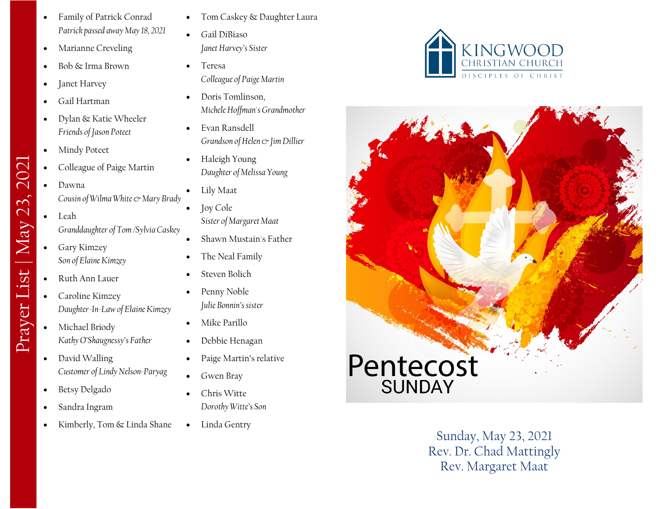- Family of Patrick Conrad *Patrick passed away May 18, 2021*
- Marianne Creveling
- Bob & Irma Brown
- Janet Harvey
- Gail Hartman
- Dylan & Katie Wheeler *Friends of Jason Poteet*
- Mindy Poteet
- Colleague of Paige Martin
- Dawna *Cousin of Wilma White & Mary Brady*
- Leah *Granddaughter of Tom /Sylvia Caskey*
- Gary Kimzey *Son of Elaine Kimzey*
- Ruth Ann Lauer

Prayer List | May 23, 2021

Prayer List | May 23,

2021

- Caroline Kimzey *Daughter -In -Law of Elaine Kimzey*
- Michael Briody *Kathy O'Shaugnessy's Father*
- David Walling *Customer of Lindy Nelson -Paryag*
- Betsy Delgado
- Sandra Ingram
- Kimberly, Tom & Linda Shane
- Tom Caskey & Daughter Laura
- Gail DiBiaso *Janet Harvey's Sister*
- Teresa *Colleague of Paige Martin*
- Doris Tomlinson, *Michele Hoffman's Grandmother*
- Evan Ransdell *Grandson of Helen & Jim Dillier*
- Haleigh Young *Daughter of Melissa Young*
- Lily Maat
- Joy Cole *Sister of Margaret Maat*
- Shawn Mustain's Father
- The Neal Family
- Steven Bolich
- Penny Noble *Julie Bonnin's sister*
- Mike Parillo
- Debbie Henagan
- Paige Martin's relative
- Gwen Bray
- Chris Witte *Dorothy Witte's Son*
- Linda Gentry





Sunday, May 23, 2021 Rev. Dr. Chad Mattingly Rev. Margaret Maat